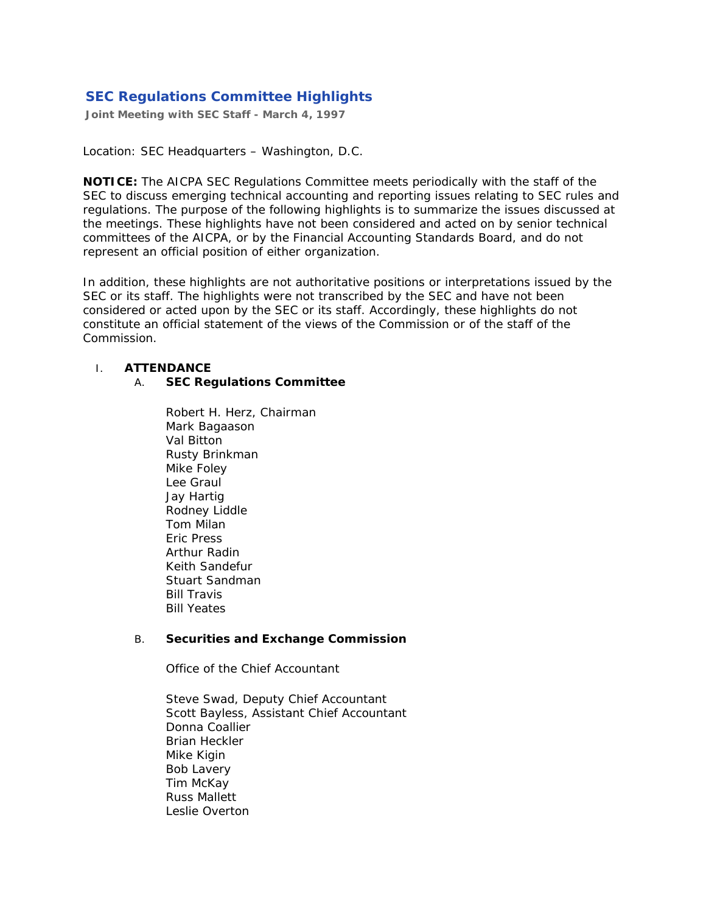# **SEC Regulations Committee Highlights**

**Joint Meeting with SEC Staff - March 4, 1997** 

#### *Location:* SEC Headquarters – Washington, D.C.

**NOTICE:** The AICPA SEC Regulations Committee meets periodically with the staff of the SEC to discuss emerging technical accounting and reporting issues relating to SEC rules and regulations. The purpose of the following highlights is to summarize the issues discussed at the meetings. These highlights have not been considered and acted on by senior technical committees of the AICPA, or by the Financial Accounting Standards Board, and do not represent an official position of either organization.

In addition, these highlights are not authoritative positions or interpretations issued by the SEC or its staff. The highlights were not transcribed by the SEC and have not been considered or acted upon by the SEC or its staff. Accordingly, these highlights do not constitute an official statement of the views of the Commission or of the staff of the Commission.

#### I. **ATTENDANCE**

#### A. **SEC Regulations Committee**

Robert H. Herz, Chairman Mark Bagaason Val Bitton Rusty Brinkman Mike Foley Lee Graul Jay Hartig Rodney Liddle Tom Milan Eric Press Arthur Radin Keith Sandefur Stuart Sandman Bill Travis Bill Yeates

### B. **Securities and Exchange Commission**

*Office of the Chief Accountant*

Steve Swad, Deputy Chief Accountant Scott Bayless, Assistant Chief Accountant Donna Coallier Brian Heckler Mike Kigin Bob Lavery Tim McKay Russ Mallett Leslie Overton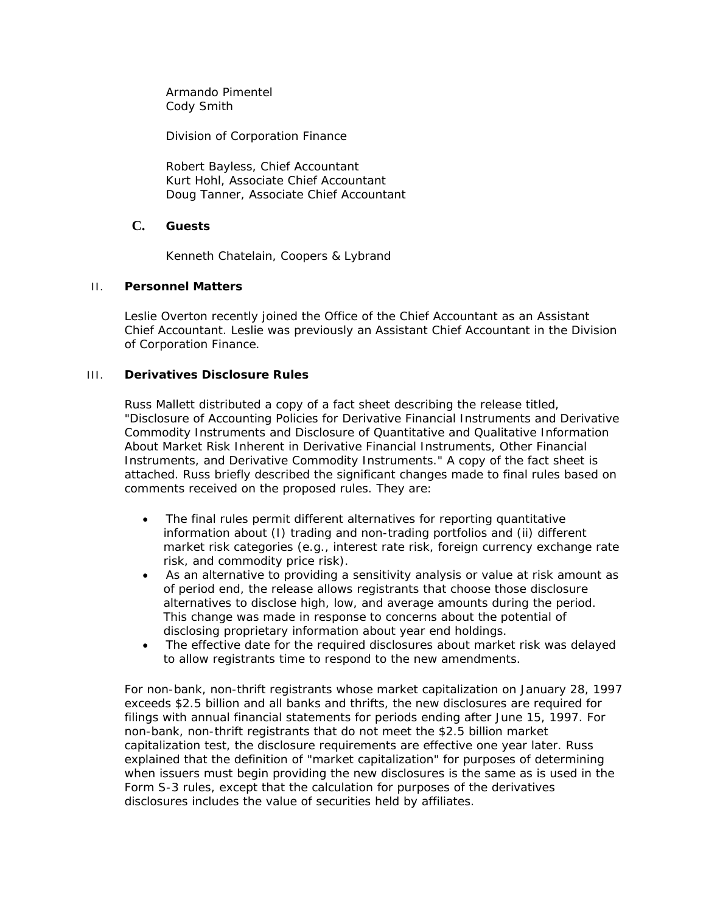Armando Pimentel Cody Smith

*Division of Corporation Finance*

Robert Bayless, Chief Accountant Kurt Hohl, Associate Chief Accountant Doug Tanner, Associate Chief Accountant

## **C. Guests**

Kenneth Chatelain, Coopers & Lybrand

### II. **Personnel Matters**

Leslie Overton recently joined the Office of the Chief Accountant as an Assistant Chief Accountant. Leslie was previously an Assistant Chief Accountant in the Division of Corporation Finance.

### III. **Derivatives Disclosure Rules**

Russ Mallett distributed a copy of a fact sheet describing the release titled, "Disclosure of Accounting Policies for Derivative Financial Instruments and Derivative Commodity Instruments and Disclosure of Quantitative and Qualitative Information About Market Risk Inherent in Derivative Financial Instruments, Other Financial Instruments, and Derivative Commodity Instruments." A copy of the fact sheet is attached. Russ briefly described the significant changes made to final rules based on comments received on the proposed rules. They are:

- The final rules permit different alternatives for reporting quantitative information about (I) trading and non-trading portfolios and (ii) different market risk categories (e.g., interest rate risk, foreign currency exchange rate risk, and commodity price risk).
- As an alternative to providing a sensitivity analysis or value at risk amount as of period end, the release allows registrants that choose those disclosure alternatives to disclose high, low, and average amounts during the period. This change was made in response to concerns about the potential of disclosing proprietary information about year end holdings.
- The effective date for the required disclosures about market risk was delayed to allow registrants time to respond to the new amendments.

For non-bank, non-thrift registrants whose market capitalization on January 28, 1997 exceeds \$2.5 billion and all banks and thrifts, the new disclosures are required for filings with annual financial statements for periods ending after June 15, 1997. For non-bank, non-thrift registrants that do not meet the \$2.5 billion market capitalization test, the disclosure requirements are effective one year later. Russ explained that the definition of "market capitalization" for purposes of determining when issuers must begin providing the new disclosures is the same as is used in the Form S-3 rules, except that the calculation for purposes of the derivatives disclosures includes the value of securities held by affiliates.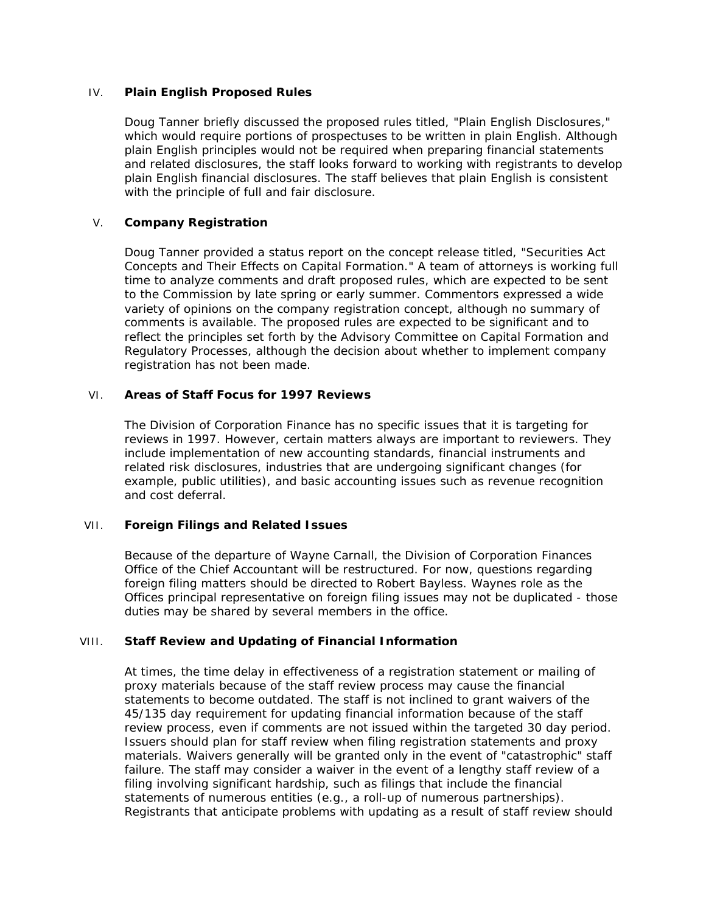#### IV. **Plain English Proposed Rules**

Doug Tanner briefly discussed the proposed rules titled, "Plain English Disclosures," which would require portions of prospectuses to be written in plain English. Although plain English principles would not be required when preparing financial statements and related disclosures, the staff looks forward to working with registrants to develop plain English financial disclosures. The staff believes that plain English is consistent with the principle of full and fair disclosure.

### V. **Company Registration**

Doug Tanner provided a status report on the concept release titled, "Securities Act Concepts and Their Effects on Capital Formation." A team of attorneys is working full time to analyze comments and draft proposed rules, which are expected to be sent to the Commission by late spring or early summer. Commentors expressed a wide variety of opinions on the company registration concept, although no summary of comments is available. The proposed rules are expected to be significant and to reflect the principles set forth by the Advisory Committee on Capital Formation and Regulatory Processes, although the decision about whether to implement company registration has not been made.

### VI. **Areas of Staff Focus for 1997 Reviews**

The Division of Corporation Finance has no specific issues that it is targeting for reviews in 1997. However, certain matters always are important to reviewers. They include implementation of new accounting standards, financial instruments and related risk disclosures, industries that are undergoing significant changes (for example, public utilities), and basic accounting issues such as revenue recognition and cost deferral.

### VII. **Foreign Filings and Related Issues**

Because of the departure of Wayne Carnall, the Division of Corporation Finances Office of the Chief Accountant will be restructured. For now, questions regarding foreign filing matters should be directed to Robert Bayless. Waynes role as the Offices principal representative on foreign filing issues may not be duplicated - those duties may be shared by several members in the office.

### VIII. **Staff Review and Updating of Financial Information**

At times, the time delay in effectiveness of a registration statement or mailing of proxy materials because of the staff review process may cause the financial statements to become outdated. The staff is not inclined to grant waivers of the 45/135 day requirement for updating financial information because of the staff review process, even if comments are not issued within the targeted 30 day period. Issuers should plan for staff review when filing registration statements and proxy materials. Waivers generally will be granted only in the event of "catastrophic" staff failure. The staff may consider a waiver in the event of a lengthy staff review of a filing involving significant hardship, such as filings that include the financial statements of numerous entities (e.g., a roll-up of numerous partnerships). Registrants that anticipate problems with updating as a result of staff review should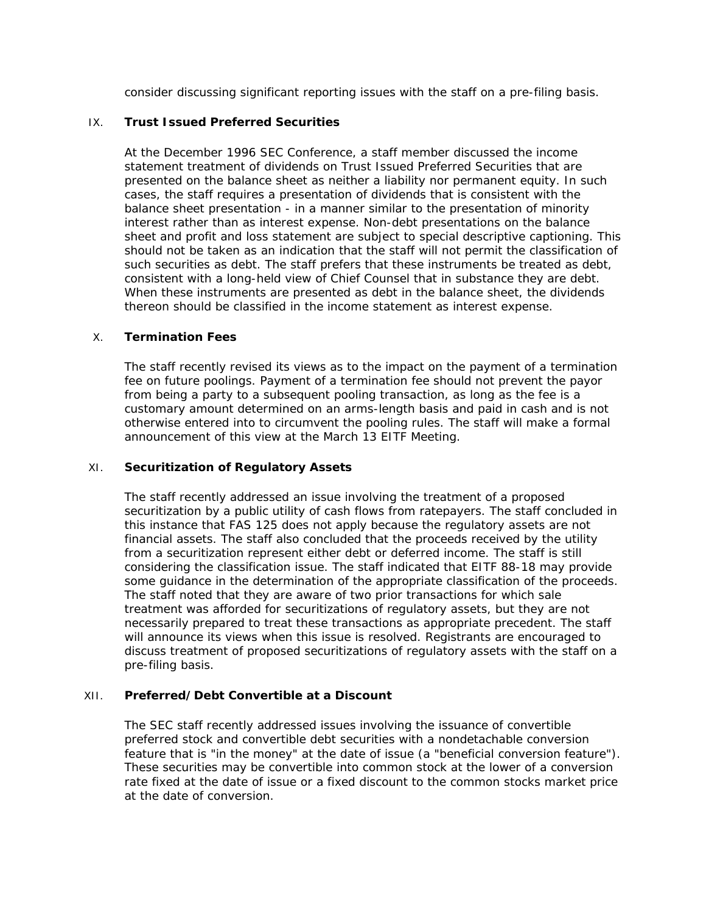consider discussing significant reporting issues with the staff on a pre-filing basis.

#### IX. **Trust Issued Preferred Securities**

At the December 1996 SEC Conference, a staff member discussed the income statement treatment of dividends on Trust Issued Preferred Securities that are presented on the balance sheet as neither a liability nor permanent equity. In such cases, the staff requires a presentation of dividends that is consistent with the balance sheet presentation - in a manner similar to the presentation of minority interest rather than as interest expense. Non-debt presentations on the balance sheet and profit and loss statement are subject to special descriptive captioning. This should not be taken as an indication that the staff will not permit the classification of such securities as debt. The staff prefers that these instruments be treated as debt, consistent with a long-held view of Chief Counsel that in substance they are debt. When these instruments are presented as debt in the balance sheet, the dividends thereon should be classified in the income statement as interest expense.

#### X. **Termination Fees**

The staff recently revised its views as to the impact on the payment of a termination fee on future poolings. Payment of a termination fee should not prevent the payor from being a party to a subsequent pooling transaction, as long as the fee is a customary amount determined on an arms-length basis and paid in cash and is not otherwise entered into to circumvent the pooling rules. The staff will make a formal announcement of this view at the March 13 EITF Meeting.

#### XI. **Securitization of Regulatory Assets**

The staff recently addressed an issue involving the treatment of a proposed securitization by a public utility of cash flows from ratepayers. The staff concluded in this instance that FAS 125 does not apply because the regulatory assets are not financial assets. The staff also concluded that the proceeds received by the utility from a securitization represent either debt or deferred income. The staff is still considering the classification issue. The staff indicated that EITF 88-18 may provide some guidance in the determination of the appropriate classification of the proceeds. The staff noted that they are aware of two prior transactions for which sale treatment was afforded for securitizations of regulatory assets, but they are not necessarily prepared to treat these transactions as appropriate precedent. The staff will announce its views when this issue is resolved. Registrants are encouraged to discuss treatment of proposed securitizations of regulatory assets with the staff on a pre-filing basis.

#### XII. **Preferred/Debt Convertible at a Discount**

The SEC staff recently addressed issues involving the issuance of convertible preferred stock and convertible debt securities with a nondetachable conversion feature that is "in the money" at the date of issue (a "beneficial conversion feature"). These securities may be convertible into common stock at the lower of a conversion rate fixed at the date of issue or a fixed discount to the common stocks market price at the date of conversion.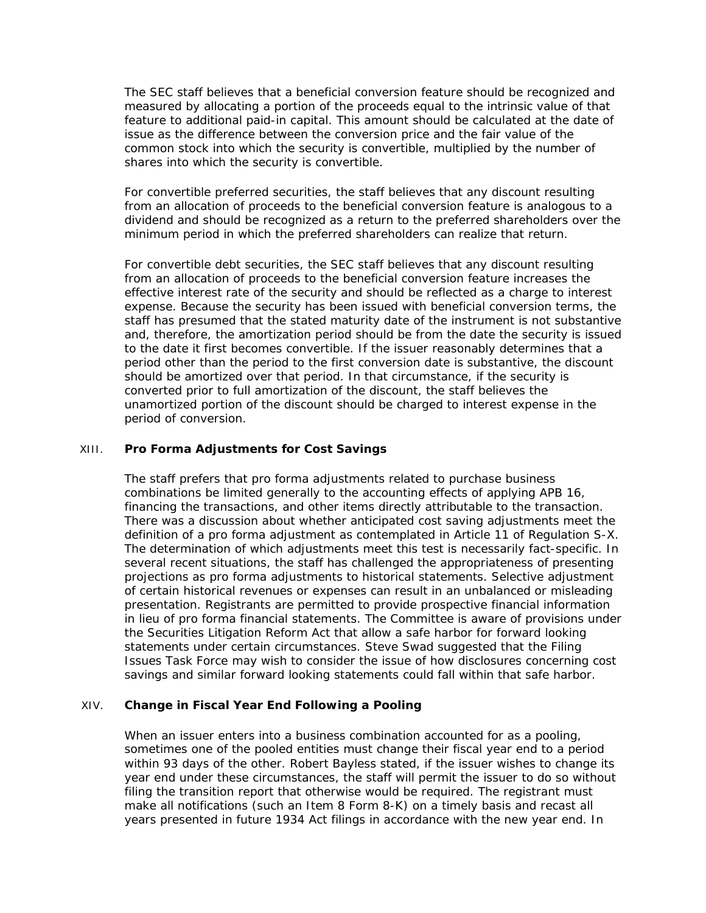The SEC staff believes that a beneficial conversion feature should be recognized and measured by allocating a portion of the proceeds equal to the intrinsic value of that feature to additional paid-in capital. This amount should be calculated at the date of issue as the difference between the conversion price and the fair value of the common stock into which the security is convertible, multiplied by the number of shares into which the security is convertible.

For convertible preferred securities, the staff believes that any discount resulting from an allocation of proceeds to the beneficial conversion feature is analogous to a dividend and should be recognized as a return to the preferred shareholders over the minimum period in which the preferred shareholders can realize that return.

For convertible debt securities, the SEC staff believes that any discount resulting from an allocation of proceeds to the beneficial conversion feature increases the effective interest rate of the security and should be reflected as a charge to interest expense. Because the security has been issued with beneficial conversion terms, the staff has presumed that the stated maturity date of the instrument is not substantive and, therefore, the amortization period should be from the date the security is issued to the date it first becomes convertible. If the issuer reasonably determines that a period other than the period to the first conversion date is substantive, the discount should be amortized over that period. In that circumstance, if the security is converted prior to full amortization of the discount, the staff believes the unamortized portion of the discount should be charged to interest expense in the period of conversion.

#### XIII. **Pro Forma Adjustments for Cost Savings**

The staff prefers that pro forma adjustments related to purchase business combinations be limited generally to the accounting effects of applying APB 16, financing the transactions, and other items directly attributable to the transaction. There was a discussion about whether anticipated cost saving adjustments meet the definition of a pro forma adjustment as contemplated in Article 11 of Regulation S-X. The determination of which adjustments meet this test is necessarily fact-specific. In several recent situations, the staff has challenged the appropriateness of presenting projections as pro forma adjustments to historical statements. Selective adjustment of certain historical revenues or expenses can result in an unbalanced or misleading presentation. Registrants are permitted to provide prospective financial information in lieu of pro forma financial statements. The Committee is aware of provisions under the Securities Litigation Reform Act that allow a safe harbor for forward looking statements under certain circumstances. Steve Swad suggested that the Filing Issues Task Force may wish to consider the issue of how disclosures concerning cost savings and similar forward looking statements could fall within that safe harbor.

#### XIV. **Change in Fiscal Year End Following a Pooling**

When an issuer enters into a business combination accounted for as a pooling, sometimes one of the pooled entities must change their fiscal year end to a period within 93 days of the other. Robert Bayless stated, if the issuer wishes to change its year end under these circumstances, the staff will permit the issuer to do so without filing the transition report that otherwise would be required. The registrant must make all notifications (such an Item 8 Form 8-K) on a timely basis and recast all years presented in future 1934 Act filings in accordance with the new year end. In